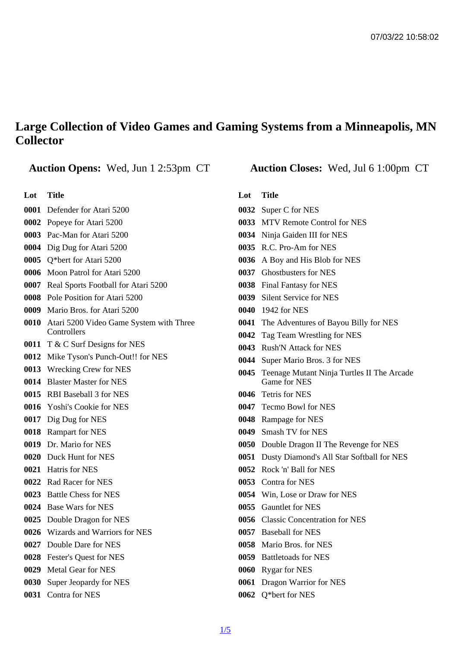## Large Collection of Video Games and Gaming Systems from a Minneapolis, MN **Collector**

Auction Opens: Wed, Jun 1 2:53pm CT Auction Closes: Wed, Jul 6 1:00pm CT

Lot Title

- Defender for Atari 5200
- Popeye for Atari 5200
- Pac-Man for Atari 5200
- Dig Dug for Atari 5200
- Q\*bert for Atari 5200
- Moon Patrol for Atari 5200
- Real Sports Football for Atari 5200
- Pole Position for Atari 5200
- Mario Bros. for Atari 5200
- Atari 5200 Video Game System with Three **Controllers**
- T & C Surf Designs for NES
- Mike Tyson's Punch-Out!! for NES
- Wrecking Crew for NES
- Blaster Master for NES
- RBI Baseball 3 for NES
- Yoshi's Cookie for NES
- Dig Dug for NES
- Rampart for NES
- Dr. Mario for NES
- Duck Hunt for NES
- Hatris for NES
- Rad Racer for NES
- Battle Chess for NES
- Base Wars for NES
- Double Dragon for NES
- Wizards and Warriors for NES
- Double Dare for NES
- Fester's Quest for NES
- Metal Gear for NES
- Super Jeopardy for NES
- Contra for NES

Lot Title

- Super C for NES
- MTV Remote Control for NES
- Ninja Gaiden III for NES
- R.C. Pro-Am for NES
- A Boy and His Blob for NES
- Ghostbusters for NES
- Final Fantasy for NES
- Silent Service for NES
- 1942 for NES
- The Adventures of Bayou Billy for NES
- Tag Team Wrestling for NES
- Rush'N Attack for NES
- Super Mario Bros. 3 for NES
- Teenage Mutant Ninja Turtles II The Arcade Game for NES
- Tetris for NES
- Tecmo Bowl for NES
- Rampage for NES
- Smash TV for NES
- Double Dragon II The Revenge for NES
- Dusty Diamond's All Star Softball for NES
- Rock 'n' Ball for NES
- Contra for NES
- Win, Lose or Draw for NES
- Gauntlet for NES
- Classic Concentration for NES
- Baseball for NES
- Mario Bros. for NES
- Battletoads for NES
- Rygar for NES
- Dragon Warrior for NES
- Q\*bert for NES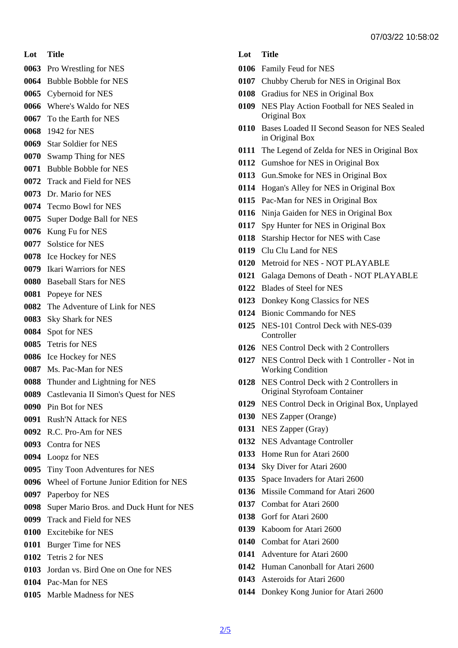- Lot Title
- Pro Wrestling for NES
- Bubble Bobble for NES
- Cybernoid for NES
- Where's Waldo for NES
- To the Earth for NES
- 1942 for NES
- Star Soldier for NES
- Swamp Thing for NES
- Bubble Bobble for NES
- Track and Field for NES
- Dr. Mario for NES
- Tecmo Bowl for NES
- Super Dodge Ball for NES
- Kung Fu for NES
- Solstice for NES
- Ice Hockey for NES
- Ikari Warriors for NES
- Baseball Stars for NES
- Popeye for NES
- The Adventure of Link for NES
- Sky Shark for NES
- Spot for NES
- Tetris for NES
- Ice Hockey for NES
- Ms. Pac-Man for NES
- Thunder and Lightning for NES
- Castlevania II Simon's Quest for NES
- Pin Bot for NES
- Rush'N Attack for NES
- R.C. Pro-Am for NES
- Contra for NES
- Loopz for NES
- Tiny Toon Adventures for NES
- Wheel of Fortune Junior Edition for NES
- Paperboy for NES
- Super Mario Bros. and Duck Hunt for NES
- Track and Field for NES
- Excitebike for NES
- Burger Time for NES
- Tetris 2 for NES
- Jordan vs. Bird One on One for NES
- Pac-Man for NES
- Marble Madness for NES
- Lot Title
- Family Feud for NES
- Chubby Cherub for NES in Original Box
- Gradius for NES in Original Box
- NES Play Action Football for NES Sealed in Original Box
- Bases Loaded II Second Season for NES Sealed in Original Box
- The Legend of Zelda for NES in Original Box
- Gumshoe for NES in Original Box
- Gun.Smoke for NES in Original Box
- Hogan's Alley for NES in Original Box
- Pac-Man for NES in Original Box
- Ninja Gaiden for NES in Original Box
- Spy Hunter for NES in Original Box
- Starship Hector for NES with Case
- Clu Clu Land for NES
- Metroid for NES NOT PLAYABLE
- Galaga Demons of Death NOT PLAYABLE
- Blades of Steel for NES
- Donkey Kong Classics for NES
- Bionic Commando for NES
- NES-101 Control Deck with NES-039 **Controller**
- NES Control Deck with 2 Controllers
- NES Control Deck with 1 Controller Not in Working Condition
- NES Control Deck with 2 Controllers in Original Styrofoam Container
- NES Control Deck in Original Box, Unplayed
- NES Zapper (Orange)
- NES Zapper (Gray)
- NES Advantage Controller
- Home Run for Atari 2600
- Sky Diver for Atari 2600
- Space Invaders for Atari 2600
- Missile Command for Atari 2600
- Combat for Atari 2600
- Gorf for Atari 2600
- Kaboom for Atari 2600
- Combat for Atari 2600
- Adventure for Atari 2600
- Human Canonball for Atari 2600
- Asteroids for Atari 2600
- Donkey Kong Junior for Atari 2600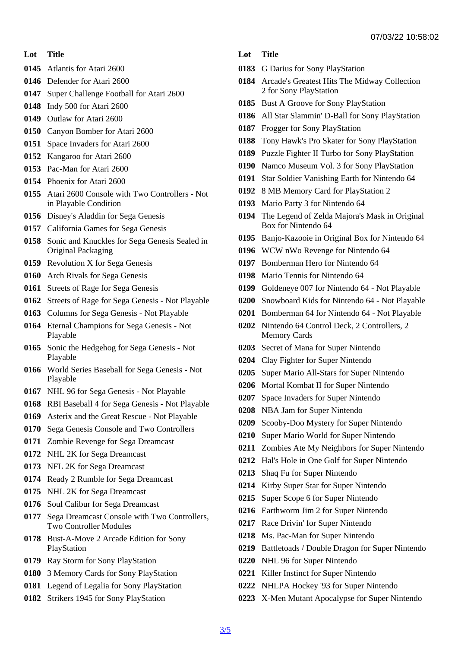- Lot Title
- Atlantis for Atari 2600
- Defender for Atari 2600
- Super Challenge Football for Atari 2600
- Indy 500 for Atari 2600
- Outlaw for Atari 2600
- Canyon Bomber for Atari 2600
- Space Invaders for Atari 2600
- Kangaroo for Atari 2600
- Pac-Man for Atari 2600
- Phoenix for Atari 2600
- Atari 2600 Console with Two Controllers Not in Playable Condition
- Disney's Aladdin for Sega Genesis
- California Games for Sega Genesis
- Sonic and Knuckles for Sega Genesis Sealed in Original Packaging
- Revolution X for Sega Genesis
- Arch Rivals for Sega Genesis
- Streets of Rage for Sega Genesis
- Streets of Rage for Sega Genesis Not Playable
- Columns for Sega Genesis Not Playable
- Eternal Champions for Sega Genesis Not Playable
- Sonic the Hedgehog for Sega Genesis Not Playable
- World Series Baseball for Sega Genesis Not Playable
- NHL 96 for Sega Genesis Not Playable
- RBI Baseball 4 for Sega Genesis Not Playable
- Asterix and the Great Rescue Not Playable
- Sega Genesis Console and Two Controllers
- Zombie Revenge for Sega Dreamcast
- NHL 2K for Sega Dreamcast
- NFL 2K for Sega Dreamcast
- Ready 2 Rumble for Sega Dreamcast
- NHL 2K for Sega Dreamcast
- Soul Calibur for Sega Dreamcast
- Sega Dreamcast Console with Two Controllers, Two Controller Modules
- Bust-A-Move 2 Arcade Edition for Sony PlayStation
- Ray Storm for Sony PlayStation
- 3 Memory Cards for Sony PlayStation
- Legend of Legalia for Sony PlayStation
- Strikers 1945 for Sony PlayStation
- Lot Title
- G Darius for Sony PlayStation
- Arcade's Greatest Hits The Midway Collection 2 for Sony PlayStation
- Bust A Groove for Sony PlayStation
- All Star Slammin' D-Ball for Sony PlayStation
- Frogger for Sony PlayStation
- Tony Hawk's Pro Skater for Sony PlayStation
- Puzzle Fighter II Turbo for Sony PlayStation
- Namco Museum Vol. 3 for Sony PlayStation
- Star Soldier Vanishing Earth for Nintendo 64
- 8 MB Memory Card for PlayStation 2
- Mario Party 3 for Nintendo 64
- The Legend of Zelda Majora's Mask in Original Box for Nintendo 64
- Banjo-Kazooie in Original Box for Nintendo 64
- WCW nWo Revenge for Nintendo 64
- Bomberman Hero for Nintendo 64
- Mario Tennis for Nintendo 64
- Goldeneye 007 for Nintendo 64 Not Playable
- Snowboard Kids for Nintendo 64 Not Playable
- Bomberman 64 for Nintendo 64 Not Playable
- Nintendo 64 Control Deck, 2 Controllers, 2 Memory Cards
- Secret of Mana for Super Nintendo
- Clay Fighter for Super Nintendo
- Super Mario All-Stars for Super Nintendo
- Mortal Kombat II for Super Nintendo
- Space Invaders for Super Nintendo
- NBA Jam for Super Nintendo
- Scooby-Doo Mystery for Super Nintendo
- Super Mario World for Super Nintendo
- Zombies Ate My Neighbors for Super Nintendo
- Hal's Hole in One Golf for Super Nintendo
- Shaq Fu for Super Nintendo
- Kirby Super Star for Super Nintendo
- Super Scope 6 for Super Nintendo
- Earthworm Jim 2 for Super Nintendo
- Race Drivin' for Super Nintendo
- Ms. Pac-Man for Super Nintendo
- Battletoads / Double Dragon for Super Nintendo
- NHL 96 for Super Nintendo
- Killer Instinct for Super Nintendo
- NHLPA Hockey '93 for Super Nintendo
- X-Men Mutant Apocalypse for Super Nintendo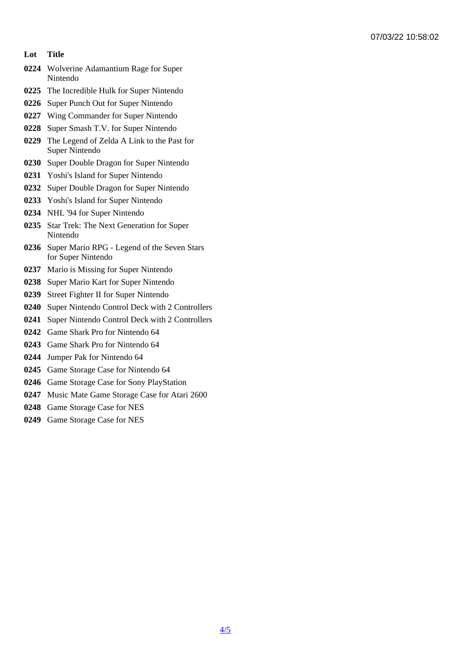- Lot Title
- Wolverine Adamantium Rage for Super Nintendo
- The Incredible Hulk for Super Nintendo
- Super Punch Out for Super Nintendo
- Wing Commander for Super Nintendo
- Super Smash T.V. for Super Nintendo
- The Legend of Zelda A Link to the Past for Super Nintendo
- Super Double Dragon for Super Nintendo
- Yoshi's Island for Super Nintendo
- Super Double Dragon for Super Nintendo
- Yoshi's Island for Super Nintendo
- NHL '94 for Super Nintendo
- Star Trek: The Next Generation for Super Nintendo
- Super Mario RPG Legend of the Seven Stars for Super Nintendo
- Mario is Missing for Super Nintendo
- Super Mario Kart for Super Nintendo
- Street Fighter II for Super Nintendo
- Super Nintendo Control Deck with 2 Controllers
- Super Nintendo Control Deck with 2 Controllers
- Game Shark Pro for Nintendo 64
- Game Shark Pro for Nintendo 64
- Jumper Pak for Nintendo 64
- Game Storage Case for Nintendo 64
- Game Storage Case for Sony PlayStation
- Music Mate Game Storage Case for Atari 2600
- Game Storage Case for NES
- Game Storage Case for NES